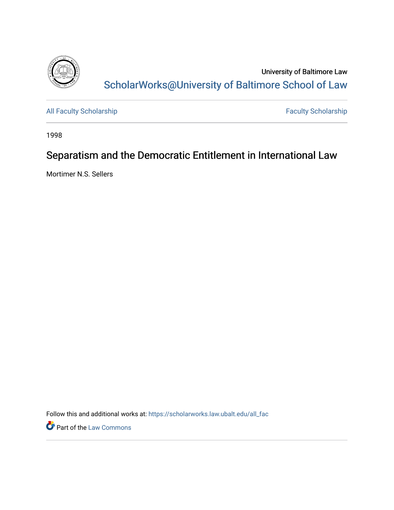

University of Baltimore Law [ScholarWorks@University of Baltimore School of Law](https://scholarworks.law.ubalt.edu/) 

[All Faculty Scholarship](https://scholarworks.law.ubalt.edu/all_fac) [Faculty Scholarship](https://scholarworks.law.ubalt.edu/faculty) Faculty Scholarship

1998

# Separatism and the Democratic Entitlement in International Law

Mortimer N.S. Sellers

Follow this and additional works at: [https://scholarworks.law.ubalt.edu/all\\_fac](https://scholarworks.law.ubalt.edu/all_fac?utm_source=scholarworks.law.ubalt.edu%2Fall_fac%2F1146&utm_medium=PDF&utm_campaign=PDFCoverPages)

**Part of the [Law Commons](http://network.bepress.com/hgg/discipline/578?utm_source=scholarworks.law.ubalt.edu%2Fall_fac%2F1146&utm_medium=PDF&utm_campaign=PDFCoverPages)**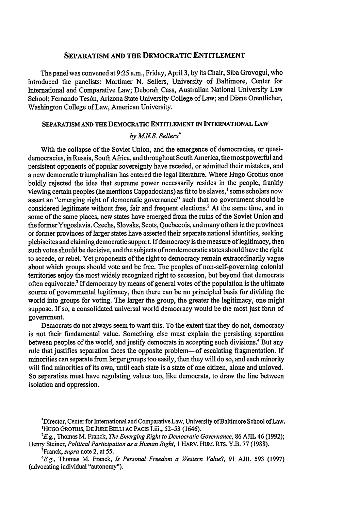## **SEPARATISM AND THE DEMOCRATIC ENTITLEMENT**

The panel was convened at 9:25 a.m., Friday, April 3, by its Chair, Siba Grovogui, who introduced the panelists: Mortimer N. Sellers, University of Baltimore, Center for International and Comparative Law; Deborah Cass, Australian National University Law School; Fernando Tes6n, Arizona State University College of Law; and Diane Orentlicher, Washington College of Law, American University.

## **SEPARATISM AND THE DEMOCRATIC ENTITLEMENT IN INTERNATIONAL LAW**

## *by MN.S. Sellers'*

With the collapse of the Soviet Union, and the emergence of democracies, or quasidemocracies, in Russia, South Africa, and throughout South America, the most powerful and persistent opponents of popular sovereignty have receded, or admitted their mistakes, and a new democratic triumphalism has entered the legal literature. Where Hugo Grotius once boldly rejected the idea that supreme power necessarily resides in the people, frankly viewing certain peoples (he mentions Cappadocians) as fit to be slaves,' some scholars now assert an "emerging right of democratic governance" such that no government should be considered legitimate without free, fair and frequent elections.2 At the same time, and in some of the same places, new states have emerged from the ruins of the Soviet Union and the formerYugoslavia. Czechs, Slovaks, Scots, Quebecois, and many others in the provinces or former provinces of larger states have asserted their separate national identities, seeking plebiscites and claiming democratic support. If democracy is the measure of legitimacy, then such votes should be decisive, and the subjects ofnondemocratic states should have the right to secede, or rebel. Yet proponents of the right to democracy remain extraordinarily vague about which groups should vote and be free. The peoples of non-self-governing colonial territories enjoy the most widely recognized right to secession, but beyond that democrats often equivocate? If democracy by means of general votes of the population is the ultimate source of governmental legitimacy, then there can be no principled basis for dividing the world into groups for voting. The larger the group, the greater the legitimacy, one might suppose. If so, a consolidated universal world democracy would be the most just form of government.

Democrats do not always seem to want this. To the extent that they do not, democracy is not their fundamental value. Something else must explain the persisting separation between peoples of the world, and justify democrats in accepting such divisions.<sup>4</sup> But any rule that justifies separation faces the opposite problem-of escalating fragmentation. If minorities can separate from larger groups too easily, then they will do so, and each minority will find minorities of its own, until each state is a state of one citizen, alone and unloved. So separatists must have regulating values too, like democrats, to draw the line between isolation and oppression.

*2 E.g.,* Thomas M. Franck, *The Emerging Right to Democratic Governance,* 86 AJIL 46 (1992); Henry Steiner, *Political Participation as a Human Right*, 1 HARV. HUM. RTS. Y.B. 77 (1988).

<sup>3</sup> Franck, *supra* note 2, at 55.

*E.g.,* Thomas M. Franck, *Is Personal Freedom a Western Value?,* **91** AJIL 593 (1997) (advocating individual "autonomy").

<sup>\*</sup>Director, Center for International and Comparative Law, University of Baltimore School of Law. 'HUGO GRoTus, DE JURE BELLI **AC PACIS** I.iii., 52-53 (1646).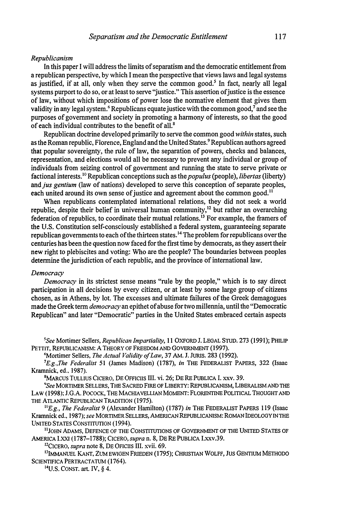#### *Republicanism*

In this paper I will address the limits of separatism and the democratic entitlement from a republican perspective, by which I mean the perspective that views laws and legal systems as justified, if at all, only when they serve the common good.<sup>5</sup> In fact, nearly all legal systems purport to do so, or at least to serve "justice." This assertion of justice is the essence of law, without which impositions of power lose the normative element that gives them validity in any legal system.<sup>6</sup> Republicans equate justice with the common good,<sup>7</sup> and see the purposes of government and society in promoting a harmony of interests, so that the good of each individual contributes to the benefit of all.'

Republican doctrine developed primarily to serve the common good *within* states, such as the Roman republic, Florence, England and the United States.<sup>9</sup> Republican authors agreed that popular sovereignty, the rule of law, the separation of powers, checks and balances, representation, and elections would all be necessary to prevent any individual or group of individuals from seizing control of government and running the state to serve private or factional interests.<sup>10</sup> Republican conceptions such as the *populus* (people), *libertas* (liberty) and *jus gentium* (law of nations) developed to serve this conception of separate peoples, each united around its own sense of justice and agreement about the common good.<sup>11</sup>

When republicans contemplated international relations, they did not seek a world republic, despite their belief in universal human community,<sup>12</sup> but rather an overarching federation of republics, to coordinate their mutual relations.<sup>13</sup> For example, the framers of the U.S. Constitution self-consciously established a federal system, guaranteeing separate republican governments to each of the thirteen states.<sup>14</sup> The problem for republicans over the centuries has been the question now faced for the first time by democrats, as they assert their new right to plebiscites and voting: Who are the people? The boundaries between peoples determine the jurisdiction of each republic, and the province of international law.

### *Democracy*

*Democracy* in its strictest sense means "rule by the people," which is to say direct participation in all decisions by every citizen, or at least by some large group of citizens chosen, as in Athens, by lot. The excesses and ultimate failures of the Greek demagogues made the Greek term *democracy* an epithet of abuse for two millennia, until the "Democratic Republican" and later "Democratic" parties in the United States embraced certain aspects

*'See* Mortimer Sellers, *Republican Impartiality,* 11 OxFORD **J. LEGAL STUD.** 273 (1991); PHILIP PETTIT, **REPUBLICANISM: A** THEORY **OF** FREEDOM **AND** GOVERNMENT **(1997).**

6 Mortimer Sellers, *The Actual Validity of Law,* **37** *AM.* J. JuRIs. 283 (1992). *<sup>7</sup>*

*E.g.,The Federalist 51* (James Madison) (1787), *in* THE FEDERALIST PAPERS, **322** (Isaac Kramnick, ed., 1987).

8 MARCUS **TULLIUS** CICERO, **DE OFFICIIS** III. vi. 26; **DE** RE **PUBLICA I.** xxv. **39.**

*"See* MORTIMER SELLERS, THE **SACRED FIRE** OF LIBERTY: REPUBLICANISM, LIBERALISM **AND** THE LAW (1998); J.G.A. POCOCK, THE **MACHIAVELLIAN** MOMENT: **FLORENTINE** POLITICAL THOUGHT **AND** THE ATLANTIC REPUBLICAN TRADITION (1975).

*0 E.g., The Federalist* 9 (Alexander Hamilton) **(1787)** *in* THE FEDERALIST PAPERS **119** (Isaac Kramnick ed., 1987); *see* MORTIMER SELLERS, AMERICAN REPUBLICANISM: ROMAN IDEOLOGY **IN** THE **UNITED STATES CONSTITUTION** (1994).

"tJOHN ADAMS, **DEFENCE** OF THE **CONSTITUTIONS OF** GOVERNMENT **OF** THE UNITED **STATES OF** AMERICA **I.XXi (1787-1788); CICERO,** *supra* **n.** 8, **DE** *RE* PUBLICA **I.xxv.39.**

2 CICERO, *supra* note **8, DE** OFICIIS III. xvii. 69.

**1 3 IMMANUEL KANT, ZUM EWIGEN** FRIEDEN (1795); **CHRISTIAN** WOLFF, Jus GENTIUM METHODO **SCIENTIFICA** PERTRACTATUM (1764). 4

1 U.S. **CONST.** art. IV, § 4.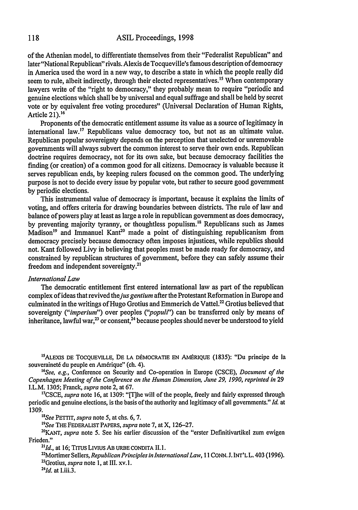of the Athenian model, to differentiate themselves from their "Federalist Republican" and later "National Republican" rivals. Alexis de Tocqueville's famous description of democracy in America used the word in a new way, to describe a state in which the people really did seem to rule, albeit indirectly, through their elected representatives.<sup>15</sup> When contemporary lawyers write of the "right to democracy," they probably mean to require "periodic and genuine elections which shall be by universal and equal suffrage and shall be held by secret vote or by equivalent free voting procedures" (Universal Declaration of Human Rights, Article **21).16**

Proponents of the democratic entitlement assume its value as a source of legitimacy in international law." Republicans value democracy too, but not as an ultimate value. Republican popular sovereignty depends on the perception that unelected or unremovable governments will always subvert the common interest to serve their own ends. Republican doctrine requires democracy, not for its own sake, but because democracy facilities the finding (or creation) of a common good for all citizens. Democracy is valuable because it serves republican ends, by keeping rulers focused on the common good. The underlying purpose is not to decide every issue by popular vote, but rather to secure good government by periodic elections.

This instrumental value of democracy is important, because it explains the limits of voting, and offers criteria for drawing boundaries between districts. The rule of law and balance of powers play at least as large a role in republican government as does democracy, by preventing majority tyranny, or thoughtless populism.<sup>18</sup> Republicans such as James Madison<sup>19</sup> and Immanuel Kant<sup>20</sup> made a point of distinguishing republicanism from democracy precisely because democracy often imposes injustices, while republics should not. Kant followed Livy in believing that peoples must be made ready for democracy, and constrained by republican structures of government, before they can safely assume their freedom and independent sovereignty.2'

## *International Law*

The democratic entitlement first entered international law as part of the republican complex of ideas that revived the *jus gentium* after the Protestant Reformation in Europe and culminated in the writings of Hugo Grotius and Emmerich de Vattel.<sup>22</sup> Grotius believed that sovereignty *("imperium")* over peoples *("populi")* can be transferred only by means of inheritance, lawful war,<sup>23</sup> or consent,<sup>24</sup> because peoples should never be understood to yield

5 ALEXIS **DE** TOCQUEVILLE, **DE LA** DtMOCRATIE **EN AmERIQUE** (1835): "Du principe de la souveraineté du peuple en Amérique" (ch. 4).

*6 See, e.g.,* Conference on Security and Co-operation in Europe (CSCE), *Document of the Copenhagen Meeting of the Conference on* the Human Dimension, June 29, 1990, reprinted in 29 I.L.M. 1305; Franck, supra note 2, at 67.

<sup>17</sup>CSCE, supra note 16, at 1309: "[T]he will of the people, freely and fairly expressed through periodic and genuine elections, is the basis of the authority and legitimacy of all governments." *Id.* at 1309.

*'See* PETTIT, *supra* note 5, at chs. 6, 7.

*1* 9 See THE FEDERALIST PAPERS, *supra* note **7,** at X, 126-27.

*2°KANT,* supra note 5. See his earlier discussion of the "erster Definitivartikel zum ewigen Frieden." *<sup>21</sup>*

*1d.,* at **16;** TITuS Livius AB URBE **CONDITA 11. 1.**

'Mortimer Sellers, *Republican Principles in International Law, I* 1 CONN. J. **INT'L** L. 403 (1996). <sup>23</sup> Grotius, *supra* note 1, at III. xv.1.

*1d.* at I.iii.3.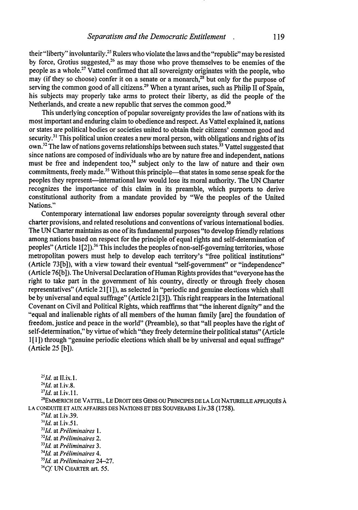their "liberty" involuntarily.25 Rulers who violate the laws and the "republic" may be resisted by force, Grotius suggested,<sup>26</sup> as may those who prove themselves to be enemies of the people as a whole.27 Vattel confirmed that all sovereignty originates with the people, who may (if they so choose) confer it on a senate or a monarch,<sup>28</sup> but only for the purpose of serving the common good of all citizens.<sup>29</sup> When a tyrant arises, such as Philip II of Spain, his subjects may properly take arms to protect their liberty, as did the people of the Netherlands, and create a new republic that serves the common good.<sup>30</sup>

This underlying conception of popular sovereignty provides the law of nations with its most important and enduring claim to obedience and respect. As Vattel explained it, nations or states are political bodies or societies united to obtain their citizens' common good and security.<sup>31</sup> This political union creates a new moral person, with obligations and rights of its own.<sup>32</sup> The law of nations governs relationships between such states.<sup>33</sup> Vattel suggested that since nations are composed of individuals who are by nature free and independent, nations must be free and independent too,<sup>34</sup> subject only to the law of nature and their own commitments, freely made.<sup>35</sup> Without this principle—that states in some sense speak for the peoples they represent-international law would lose its moral authority. The UN Charter recognizes the importance of this claim in its preamble, which purports to derive constitutional authority from a mandate provided by "We the peoples of the United Nations."

Contemporary international law endorses popular sovereignty through several other charter provisions, and related resolutions and conventions of various international bodies. The UN Charter maintains as one of its fundamental purposes "to develop friendly relations among nations based on respect for the principle of equal rights and self-determination of peoples" (Article 1 $[2]$ ).<sup>36</sup> This includes the peoples of non-self-governing territories, whose metropolitan powers must help to develop each territory's "free political institutions" (Article 73[b]), with a view toward their eventual "self-government" or "independence" (Article 76[b]). The Universal Declaration of Human Rights provides that "everyone has the right to take part in the government of his country, directly or through freely chosen representatives" (Article 21<sup>[1]</sup>), as selected in "periodic and genuine elections which shall be by universal and equal suffrage" (Article 21<sup>[3]</sup>). This right reappears in the International Covenant on Civil and Political Rights, which reaffirms that "the inherent dignity" and the "equal and inalienable rights of all members of the human family [are] the foundation of freedom, justice and peace in the world" (Preamble), so that "all peoples have the right of self-determination," by virtue of which "they freely determine their political status" (Article **I** [ 1 ]) through "genuine periodic elections which shall be by universal and equal suffrage" (Article 25 [b]).

*25 1d.* at II.ix.1. *26 1d.* at I.iv.8. *<sup>27</sup> 1d.* at Liv.l **1.** 2 1EMMERICH DE VATTEL, **LE** DROIT **DES GENS OU PRINCIPES DE LA** Loi **NATURELLE APPLIQUtS** A **LA CONDUITE ET AUX** AFFAIRES DES NATIONS **ET DES SOUVERAINS** I.iv.38 (1758). *<sup>2</sup>* <sup>29</sup>*Id.* at I.iv.39. *<sup>3</sup> Id.* at Liv.51. *"Id.* at *Priliminaires 1. 2 1d.* at *Priliminaires 2. Id.* at *Prdliminaires 3. ' 4 1d.* at *Priliminaires 4. "Id.* at *Prdliminaires* 24-27. *36 Cf* UN CHARTER art. **55.**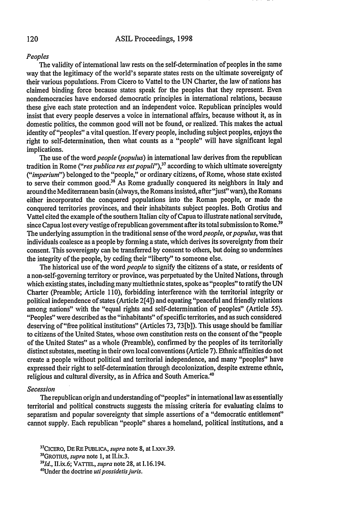### *Peoples*

The validity of international law rests on the self-determination of peoples in the same way that the legitimacy of the world's separate states rests on the ultimate sovereignty of their various populations. From Cicero to Vattel to the UN Charter, the law of nations has claimed binding force because states speak for the peoples that they represent. Even nondemocracies have endorsed democratic principles in international relations, because these give each state protection and an independent voice. Republican principles would insist that every people deserves a voice in international affairs, because without it, as in domestic politics, the common good will not be found, or realized. This makes the actual identity of "peoples" a vital question. If every people, including subject peoples, enjoys the right to self-determination, then what counts as a "people" will have significant legal implications.

The use of the *word people (populus)* in international law derives from the republican tradition in Rome ("res publica res est populi"),<sup>37</sup> according to which ultimate sovereignty *("imperium")* belonged to the "people," or ordinary citizens, of Rome, whose state existed to serve their common good.<sup>38</sup> As Rome gradually conquered its neighbors in Italy and around the Mediterranean basin (always, the Romans insisted, after "just" wars), the Romans either incorporated the conquered populations into the Roman people, or made the conquered territories provinces, and their inhabitants subject peoples. Both Grotius and Vattel cited the example of the southern Italian city of Capua to illustrate national servitude, since Capua lost every vestige of republican government after its total submission to Rome.<sup>39</sup> The underlying assumption in the traditional sense of the word *people*, or *populus*, was that individuals coalesce as a people by forming a state, which derives its sovereignty from their consent. This sovereignty can be transferred by consent to others, but doing so undermines the integrity of the people, by ceding their "liberty" to someone else.

The historical use of the *word people* to signify the citizens of a state, or residents of a non-self-governing territory or province, was perpetuated by the United Nations, through which existing states, including many multiethnic states, spoke as "peoples" to ratify the UN Charter (Preamble; Article 110), forbidding interference with the territorial integrity or political independence of states (Article 2[4]) and equating "peaceful and friendly relations among nations" with the "equal rights and self-determination of peoples" (Article 55). "Peoples" were described as the "inhabitants" of specific territories, and as such considered deserving of "free political institutions" (Articles 73, 73 [b]). This usage should be familiar to citizens of the United States, whose own constitution rests on the consent of the "people of the United States" as a whole (Preamble), confirmed by the peoples of its territorially distinct substates, meeting in their own local conventions (Article 7). Ethnic affinities do not create a people without political and territorial independence, and many "peoples" have expressed their right to self-determination through decolonization, despite extreme ethnic, religious and cultural diversity, as in Africa and South America.<sup>4</sup>

#### *Secession*

The republican origin and understanding of "peoples" in international law as essentially territorial and political constructs suggests the missing criteria for evaluating claims to separatism and popular sovereignty that simple assertions of a "democratic entitlement" cannot supply. Each republican "people" shares a homeland, political institutions, and a

3 7 CicERo, **DE** RE PUBLICA, *supra* note 8, at I.xxv.39. <sup>38</sup> GROTIUS, *supra* note 1, at II.ix.3. *1d.,* II.ix.6; VATTEL, *supra* note **28,** at 1.16.194. <sup>40</sup> <sup>40</sup>Under the doctrine *uti possidetis juris*.